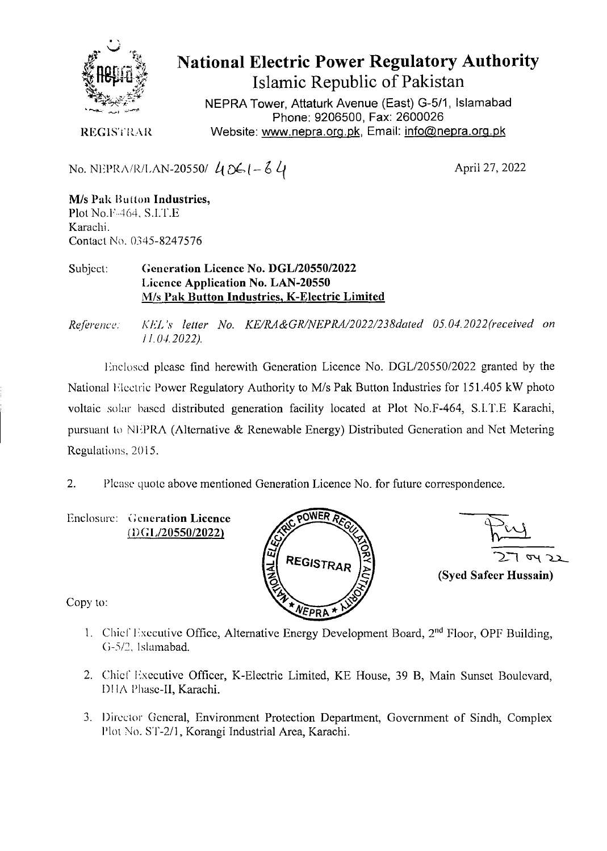

**National Electric Power Regulatory Authority Islamic Republic of Pakistan** 

NEPRA Tower, Attaturk Avenue (East) G-5/1 Islamabad Phone: 9206500, Fax: 2600026 REGISTRAR Website: www.nepra.org.pk, Email: *info@nepra.org.pk* 

No. NEPRA/R/LAN-20550/ *L. -, -* 

April 27, 2022

**M/s Pak Button Industries,** Plot No.F•464, S.LT.E Karachi. Contact No. 0345-8247576

Subject: **Generation Licence No. DGL/20550/2022 Licence Application No. LAN-20550**  M/s Pak **Button Industries,** K**-Electric Limited** 

*Re/èrenc; KL'L 's letter No. KE/RA&GR/NEPRA/2022/238dated 05.04. 2022'received on 11.04.2022).* 

1nc!osed please find herewith Generation Licence No. DGL/20550/2022 granted by the National Electric Power Regulatory Authority to M/s Pak Button Industries for 151.405 kW photo voltaic solar based distributed generation facility located at Plot No.F-464, S.I.T.E Karachi, pursuant to NIPRA (Alternative & Renewable Energy) Distributed Generation and Net Metering Regulations. *2015.* 

2. Plcase quote above mentioned Generation Licence No. for future correspondence.

Enclosure: **Generation Licence**  (i)G *lJ2O55OI2O22)* 



**(Sycd Safeer Hussain)** 

Copy to:

- 1. Chief Executive Office, Alternative Energy Development Board, 2<sup>nd</sup> Floor, OPF Building, G-5/2. Islarnabad.
- 2. Chief Executive Officer, K-Electric Limited, KE House, 39 B, Main Sunset Boulevard, Dl IA Phase-Il, Karachi.
- 3. Director General, Environment Protection Department, Government of Sindh, Complex Plot No. S'l'-2/1, Korangi Industrial Area, Karachi.